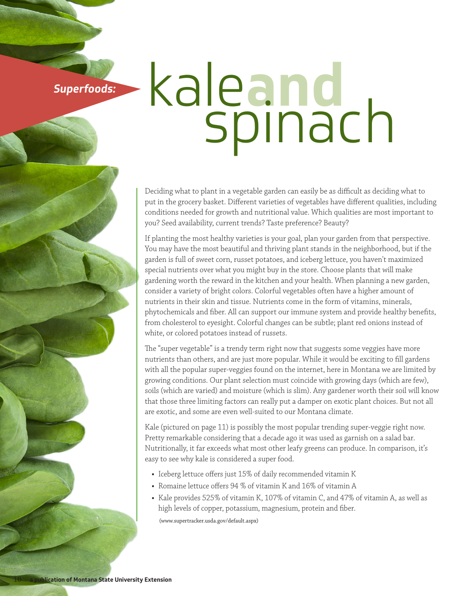**Superfoods:**

## kale**and** spinach

Deciding what to plant in a vegetable garden can easily be as difficult as deciding what to put in the grocery basket. Different varieties of vegetables have different qualities, including conditions needed for growth and nutritional value. Which qualities are most important to you? Seed availability, current trends? Taste preference? Beauty?

If planting the most healthy varieties is your goal, plan your garden from that perspective. You may have the most beautiful and thriving plant stands in the neighborhood, but if the garden is full of sweet corn, russet potatoes, and iceberg lettuce, you haven't maximized special nutrients over what you might buy in the store. Choose plants that will make gardening worth the reward in the kitchen and your health. When planning a new garden, consider a variety of bright colors. Colorful vegetables often have a higher amount of nutrients in their skin and tissue. Nutrients come in the form of vitamins, minerals, phytochemicals and fiber. All can support our immune system and provide healthy benefits, from cholesterol to eyesight. Colorful changes can be subtle; plant red onions instead of white, or colored potatoes instead of russets.

The "super vegetable" is a trendy term right now that suggests some veggies have more nutrients than others, and are just more popular. While it would be exciting to fill gardens with all the popular super-veggies found on the internet, here in Montana we are limited by growing conditions. Our plant selection must coincide with growing days (which are few), soils (which are varied) and moisture (which is slim). Any gardener worth their soil will know that those three limiting factors can really put a damper on exotic plant choices. But not all are exotic, and some are even well-suited to our Montana climate.

Kale (pictured on page 11) is possibly the most popular trending super-veggie right now. Pretty remarkable considering that a decade ago it was used as garnish on a salad bar. Nutritionally, it far exceeds what most other leafy greens can produce. In comparison, it's easy to see why kale is considered a super food.

- **•** Iceberg lettuce offers just 15% of daily recommended vitamin K
- **•** Romaine lettuce offers 94 % of vitamin K and 16% of vitamin A
- **•** Kale provides 525% of vitamin K, 107% of vitamin C, and 47% of vitamin A, as well as high levels of copper, potassium, magnesium, protein and fiber.

(www.supertracker.usda.gov/default.aspx)